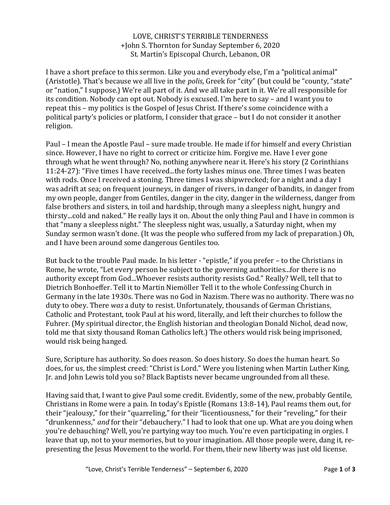## LOVE, CHRIST'S TERRIBLE TENDERNESS +John S. Thornton for Sunday September 6, 2020 St. Martin's Episcopal Church, Lebanon, OR

I have a short preface to this sermon. Like you and everybody else, I'm a "political animal" (Aristotle). That's because we all live in the *polis*, Greek for "city" (but could be "county, "state" or "nation," I suppose.) We're all part of it. And we all take part in it. We're all responsible for its condition. Nobody can opt out. Nobody is excused. I'm here to say – and I want you to repeat this – my politics is the Gospel of Jesus Christ. If there's some coincidence with a political party's policies or platform, I consider that grace – but I do not consider it another religion.

Paul – I mean the Apostle Paul – sure made trouble. He made if for himself and every Christian since. However, I have no right to correct or criticize him. Forgive me. Have I ever gone through what he went through? No, nothing anywhere near it. Here's his story (2 Corinthians 11:24-27): "Five times I have received...the forty lashes minus one. Three times I was beaten with rods. Once I received a stoning. Three times I was shipwrecked; for a night and a day I was adrift at sea; on frequent journeys, in danger of rivers, in danger of bandits, in danger from my own people, danger from Gentiles, danger in the city, danger in the wilderness, danger from false brothers and sisters, in toil and hardship, through many a sleepless night, hungry and thirsty...cold and naked." He really lays it on. About the only thing Paul and I have in common is that "many a sleepless night." The sleepless night was, usually, a Saturday night, when my Sunday sermon wasn't done. (It was the people who suffered from my lack of preparation.) Oh, and I have been around some dangerous Gentiles too.

But back to the trouble Paul made. In his letter - "epistle," if you prefer – to the Christians in Rome, he wrote, "Let every person be subject to the governing authorities...for there is no authority except from God...Whoever resists authority resists God." Really? Well, tell that to Dietrich Bonhoeffer. Tell it to Martin Niemöller Tell it to the whole Confessing Church in Germany in the late 1930s. There was no God in Nazism. There was no authority. There was no duty to obey. There *was* a duty to resist. Unfortunately, thousands of German Christians, Catholic and Protestant, took Paul at his word, literally, and left their churches to follow the Fuhrer. (My spiritual director, the English historian and theologian Donald Nichol, dead now, told me that sixty thousand Roman Catholics left.) The others would risk being imprisoned, would risk being hanged.

Sure, Scripture has authority. So does reason. So does history. So does the human heart. So does, for us, the simplest creed: "Christ is Lord." Were you listening when Martin Luther King, Jr. and John Lewis told you so? Black Baptists never became ungrounded from all these.

Having said that, I want to give Paul some credit. Evidently, some of the new, probably Gentile, Christians in Rome were a pain. In today's Epistle (Romans 13:8-14), Paul reams them out, for their "jealousy," for their "quarreling," for their "licentiousness," for their "reveling," for their "drunkenness," *and* for their "debauchery." I had to look that one up. What are you doing when you're debauching? Well, you're partying way too much. You're even participating in orgies. I leave that up, not to your memories, but to your imagination. All those people were, dang it, representing the Jesus Movement to the world. For them, their new liberty was just old license.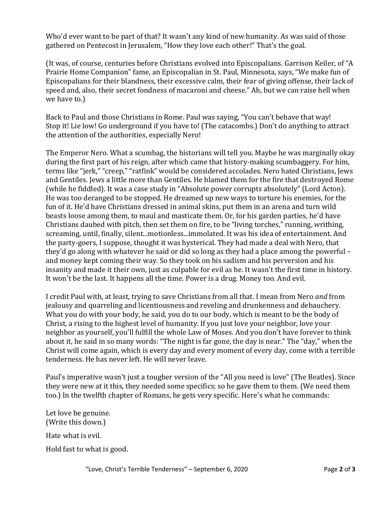Who'd ever want to be part of that? It wasn't any kind of new humanity. As was said of those gathered on Pentecost in Jerusalem, "How they love each other!" That's the goal.

(It was, of course, centuries before Christians evolved into Episcopalians. Garrison Keiler, of "A Prairie Home Companion" fame, an Episcopalian in St. Paul, Minnesota, says, "We make fun of Episcopalians for their blandness, their excessive calm, their fear of giving offense, their lack of speed and, also, their secret fondness of macaroni and cheese." Ah, but we can raise hell when we have to.)

Back to Paul and those Christians in Rome. Paul was saying, "You can't behave that way! Stop it! Lie low! Go underground if you have to! (The catacombs.) Don't do anything to attract the attention of the authorities, especially Nero!

The Emperor Nero. What a scumbag, the historians will tell you. Maybe he was marginally okay during the first part of his reign, after which came that history-making scumbaggery. For him, terms like "jerk," "creep," "ratfink" would be considered accolades. Nero hated Christians, Jews and Gentiles. Jews a little more than Gentiles. He blamed them for the fire that destroyed Rome (while he fiddled). It was a case study in "Absolute power corrupts absolutely" (Lord Acton). He was too deranged to be stopped. He dreamed up new ways to torture his enemies, for the fun of it. He'd have Christians dressed in animal skins, put them in an arena and turn wild beasts loose among them, to maul and masticate them. Or, for his garden parties, he'd have Christians daubed with pitch, then set them on fire, to be "living torches," running, writhing, screaming, until, finally, silent...motionless...immolated. It was his idea of entertainment. And the party-goers, I suppose, thought it was hysterical. They had made a deal with Nero, that they'd go along with whatever he said or did so long as they had a place among the powerful – and money kept coming their way. So they took on his sadism and his perversion and his insanity and made it their own, just as culpable for evil as he. It wasn't the first time in history. It won't be the last. It happens all the time. Power is a drug. Money too. And evil.

I credit Paul with, at least, trying to save Christians from all that. I mean from Nero *and* from jealousy and quarreling and licentiousness and reveling and drunkenness and debauchery. What you do with your body, he said, you do to our body, which is meant to be the body of Christ, a rising to the highest level of humanity. If you just love your neighbor, love your neighbor as yourself, you'll fulfill the whole Law of Moses. And you don't have forever to think about it, he said in so many words: "The night is far gone, the day is near." The "day," when the Christ will come again, which is every day and every moment of every day, come with a terrible tenderness. He has never left. He will never leave.

Paul's imperative wasn't just a tougher version of the "All you need is love" (The Beatles). Since they were new at it this, they needed some specifics; so he gave them to them. (We need them too.) In the twelfth chapter of Romans, he gets very specific. Here's what he commands:

Let love be genuine. (Write this down.) Hate what is evil. Hold fast to what is good.